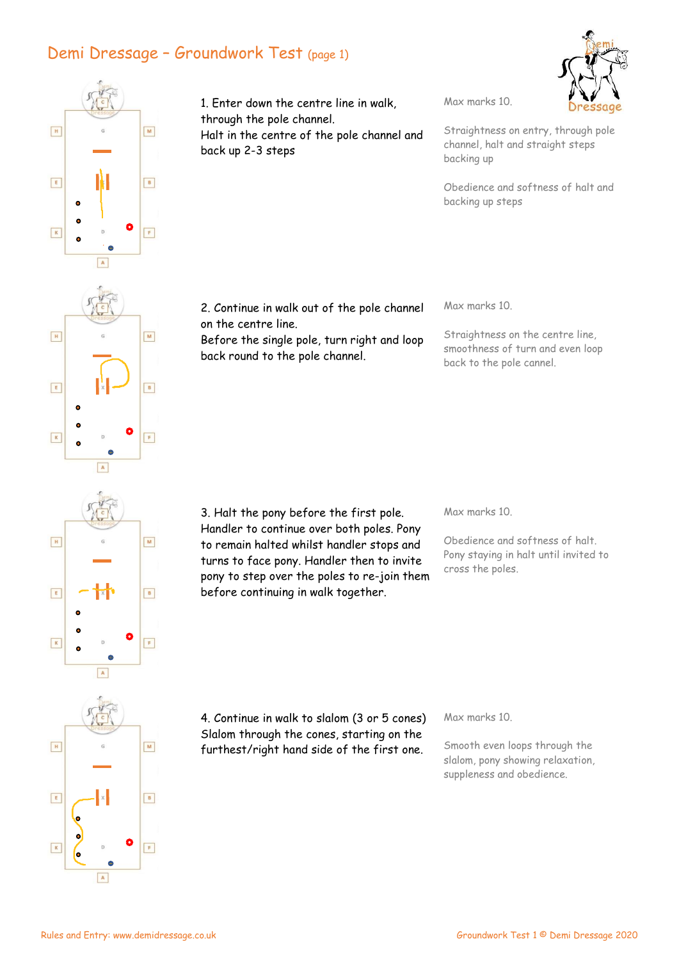## Demi Dressage – Groundwork Test (page 1)



1. Enter down the centre line in walk, through the pole channel. Halt in the centre of the pole channel and back up 2-3 steps

Max marks 10.

Straightness on entry, through pole channel, halt and straight steps backing up

Obedience and softness of halt and backing up steps

2. Continue in walk out of the pole channel on the centre line.

Before the single pole, turn right and loop back round to the pole channel.

Max marks 10.

Straightness on the centre line, smoothness of turn and even loop back to the pole cannel.

 $\boxed{\mathbf{H}}$  $\mathbf{M}$  $\boxed{\begin{array}{|c|} \hline \textbf{E} \end{array}}$  $\boxed{B}$  $\boxed{\mathsf{F}}$  $\boxed{\kappa}$ ø  $\boxed{A}$ 

 $\boxed{H}$ 

 $\boxed{\mathsf{E}}$ 

 $\overline{\mathbf{K}}$ 

ė  $\boxed{A}$ 

> 3. Halt the pony before the first pole. Handler to continue over both poles. Pony to remain halted whilst handler stops and turns to face pony. Handler then to invite pony to step over the poles to re-join them before continuing in walk together.

Max marks 10.

Obedience and softness of halt. Pony staying in halt until invited to cross the poles.

 $\boxed{M}$  $\boxed{B}$ 

4. Continue in walk to slalom (3 or 5 cones) Slalom through the cones, starting on the furthest/right hand side of the first one.

Max marks 10.

Smooth even loops through the slalom, pony showing relaxation, suppleness and obedience.

 $\boxed{\mathbf{A}}$ 

 $\boxed{\mathbf{F}}$ 

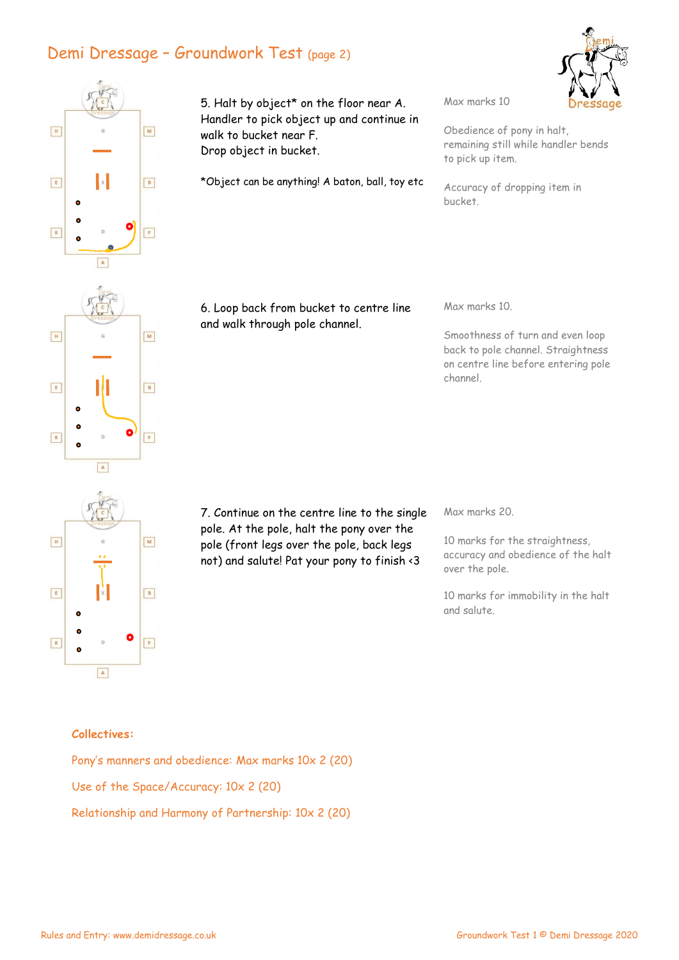## Demi Dressage – Groundwork Test (page 2)



 $E$ 

 $\mathbf{K}$ 

 $\bullet$ ó

 $\boxed{B}$ 

 $\boxed{F}$ 

5. Halt by object\* on the floor near A. Handler to pick object up and continue in walk to bucket near F. Drop object in bucket.

\*Object can be anything! A baton, ball, toy etc

Max marks 10

Obedience of pony in halt, remaining still while handler bends to pick up item.

Accuracy of dropping item in bucket.

6. Loop back from bucket to centre line and walk through pole channel.

Max marks 10.

Smoothness of turn and even loop back to pole channel. Straightness on centre line before entering pole channel.

 $\boxed{\mathbf{H}}$  $M$  $\boxed{\begin{array}{|c|} \hline \textbf{E} \end{array}}$  $\boxed{B}$  $\bullet$  $\boxed{\mathsf{F}}$  $\boxed{\kappa}$  $\boxed{\mathbf{A}}$ 

 $\boxed{\mathbf{A}}$ 

7. Continue on the centre line to the single pole. At the pole, halt the pony over the pole (front legs over the pole, back legs not) and salute! Pat your pony to finish <3

Max marks 20.

10 marks for the straightness, accuracy and obedience of the halt over the pole.

10 marks for immobility in the halt and salute.

## Collectives:

Pony's manners and obedience: Max marks 10x 2 (20) Use of the Space/Accuracy: 10x 2 (20) Relationship and Harmony of Partnership: 10x 2 (20)